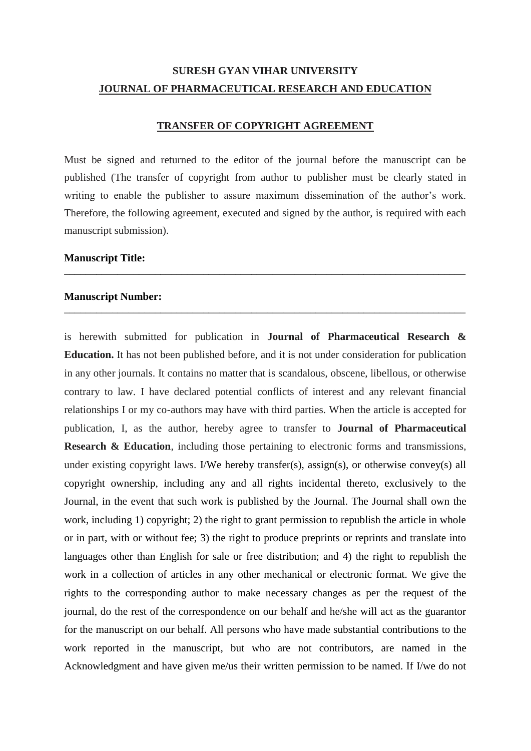## **SURESH GYAN VIHAR UNIVERSITY JOURNAL OF PHARMACEUTICAL RESEARCH AND EDUCATION**

## **TRANSFER OF COPYRIGHT AGREEMENT**

Must be signed and returned to the editor of the journal before the manuscript can be published (The transfer of copyright from author to publisher must be clearly stated in writing to enable the publisher to assure maximum dissemination of the author's work. Therefore, the following agreement, executed and signed by the author, is required with each manuscript submission).

\_\_\_\_\_\_\_\_\_\_\_\_\_\_\_\_\_\_\_\_\_\_\_\_\_\_\_\_\_\_\_\_\_\_\_\_\_\_\_\_\_\_\_\_\_\_\_\_\_\_\_\_\_\_\_\_\_\_\_\_\_\_\_\_\_\_\_\_\_\_\_\_\_\_\_

\_\_\_\_\_\_\_\_\_\_\_\_\_\_\_\_\_\_\_\_\_\_\_\_\_\_\_\_\_\_\_\_\_\_\_\_\_\_\_\_\_\_\_\_\_\_\_\_\_\_\_\_\_\_\_\_\_\_\_\_\_\_\_\_\_\_\_\_\_\_\_\_\_\_\_

## **Manuscript Title:**

## **Manuscript Number:**

is herewith submitted for publication in **Journal of Pharmaceutical Research & Education.** It has not been published before, and it is not under consideration for publication in any other journals. It contains no matter that is scandalous, obscene, libellous, or otherwise contrary to law. I have declared potential conflicts of interest and any relevant financial relationships I or my co-authors may have with third parties. When the article is accepted for publication, I, as the author, hereby agree to transfer to **Journal of Pharmaceutical Research & Education**, including those pertaining to electronic forms and transmissions, under existing copyright laws. I/We hereby transfer(s), assign(s), or otherwise convey(s) all copyright ownership, including any and all rights incidental thereto, exclusively to the Journal, in the event that such work is published by the Journal. The Journal shall own the work, including 1) copyright; 2) the right to grant permission to republish the article in whole or in part, with or without fee; 3) the right to produce preprints or reprints and translate into languages other than English for sale or free distribution; and 4) the right to republish the work in a collection of articles in any other mechanical or electronic format. We give the rights to the corresponding author to make necessary changes as per the request of the journal, do the rest of the correspondence on our behalf and he/she will act as the guarantor for the manuscript on our behalf. All persons who have made substantial contributions to the work reported in the manuscript, but who are not contributors, are named in the Acknowledgment and have given me/us their written permission to be named. If I/we do not